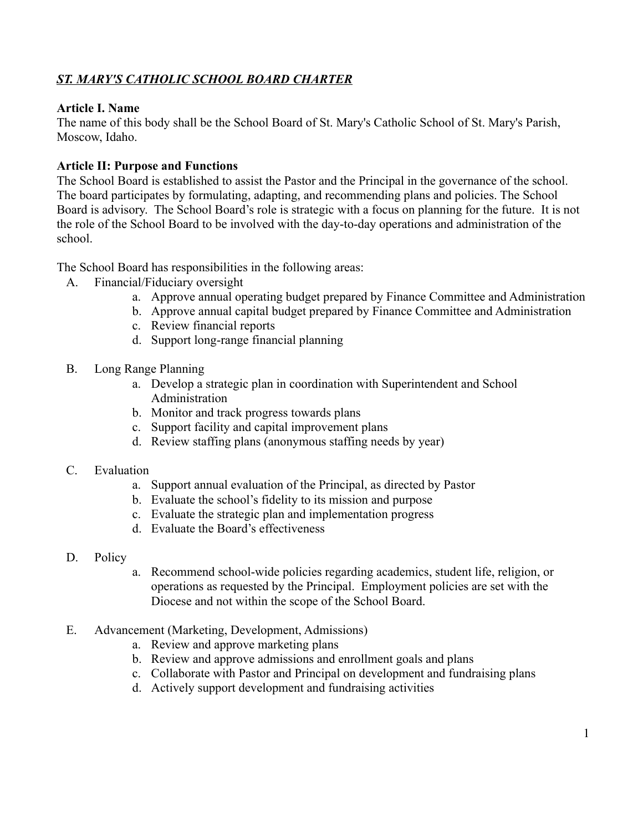# *ST. MARY'S CATHOLIC SCHOOL BOARD CHARTER*

### **Article I. Name**

The name of this body shall be the School Board of St. Mary's Catholic School of St. Mary's Parish, Moscow, Idaho.

### **Article II: Purpose and Functions**

The School Board is established to assist the Pastor and the Principal in the governance of the school. The board participates by formulating, adapting, and recommending plans and policies. The School Board is advisory. The School Board's role is strategic with a focus on planning for the future. It is not the role of the School Board to be involved with the day-to-day operations and administration of the school.

The School Board has responsibilities in the following areas:

- A. Financial/Fiduciary oversight
	- a. Approve annual operating budget prepared by Finance Committee and Administration
	- b. Approve annual capital budget prepared by Finance Committee and Administration
	- c. Review financial reports
	- d. Support long-range financial planning
- B. Long Range Planning
	- a. Develop a strategic plan in coordination with Superintendent and School Administration
	- b. Monitor and track progress towards plans
	- c. Support facility and capital improvement plans
	- d. Review staffing plans (anonymous staffing needs by year)
- C. Evaluation
	- a. Support annual evaluation of the Principal, as directed by Pastor
	- b. Evaluate the school's fidelity to its mission and purpose
	- c. Evaluate the strategic plan and implementation progress
	- d. Evaluate the Board's effectiveness
- D. Policy
- a. Recommend school-wide policies regarding academics, student life, religion, or operations as requested by the Principal. Employment policies are set with the Diocese and not within the scope of the School Board.
- E. Advancement (Marketing, Development, Admissions)
	- a. Review and approve marketing plans
	- b. Review and approve admissions and enrollment goals and plans
	- c. Collaborate with Pastor and Principal on development and fundraising plans
	- d. Actively support development and fundraising activities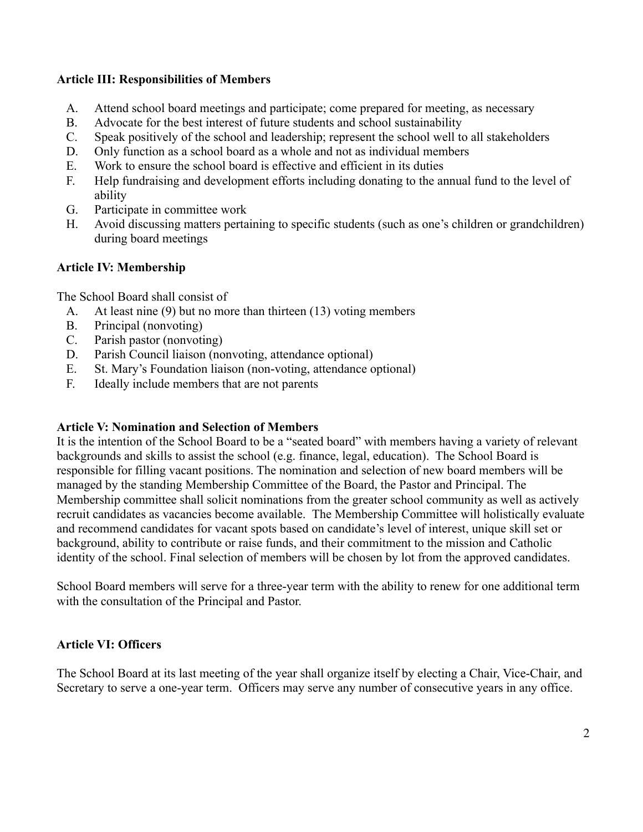### **Article III: Responsibilities of Members**

- A. Attend school board meetings and participate; come prepared for meeting, as necessary
- B. Advocate for the best interest of future students and school sustainability
- C. Speak positively of the school and leadership; represent the school well to all stakeholders
- D. Only function as a school board as a whole and not as individual members
- E. Work to ensure the school board is effective and efficient in its duties
- F. Help fundraising and development efforts including donating to the annual fund to the level of ability
- G. Participate in committee work
- H. Avoid discussing matters pertaining to specific students (such as one's children or grandchildren) during board meetings

### **Article IV: Membership**

The School Board shall consist of

- A. At least nine (9) but no more than thirteen (13) voting members
- B. Principal (nonvoting)
- C. Parish pastor (nonvoting)
- D. Parish Council liaison (nonvoting, attendance optional)
- E. St. Mary's Foundation liaison (non-voting, attendance optional)
- F. Ideally include members that are not parents

### **Article V: Nomination and Selection of Members**

It is the intention of the School Board to be a "seated board" with members having a variety of relevant backgrounds and skills to assist the school (e.g. finance, legal, education). The School Board is responsible for filling vacant positions. The nomination and selection of new board members will be managed by the standing Membership Committee of the Board, the Pastor and Principal. The Membership committee shall solicit nominations from the greater school community as well as actively recruit candidates as vacancies become available. The Membership Committee will holistically evaluate and recommend candidates for vacant spots based on candidate's level of interest, unique skill set or background, ability to contribute or raise funds, and their commitment to the mission and Catholic identity of the school. Final selection of members will be chosen by lot from the approved candidates.

School Board members will serve for a three-year term with the ability to renew for one additional term with the consultation of the Principal and Pastor.

## **Article VI: Officers**

The School Board at its last meeting of the year shall organize itself by electing a Chair, Vice-Chair, and Secretary to serve a one-year term. Officers may serve any number of consecutive years in any office.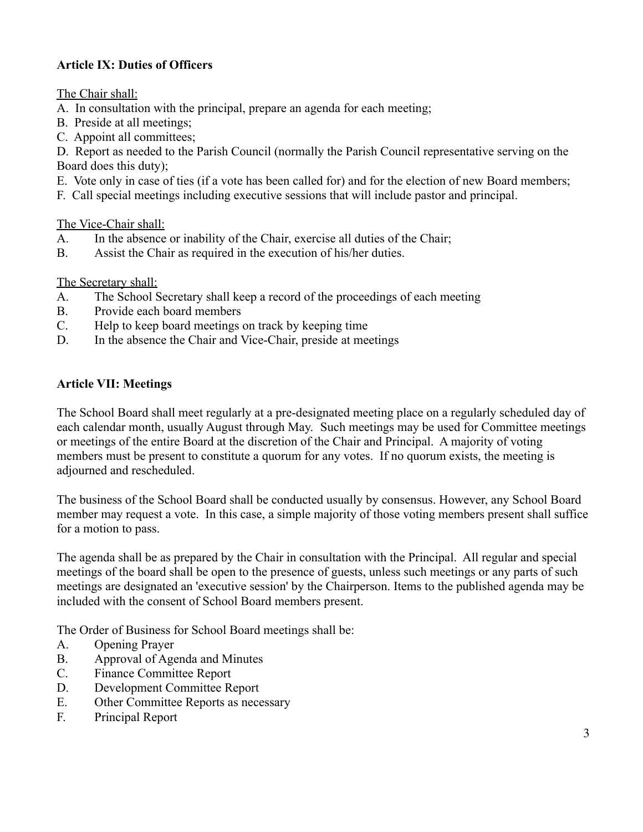# **Article IX: Duties of Officers**

The Chair shall:

- A. In consultation with the principal, prepare an agenda for each meeting;
- B. Preside at all meetings;
- C. Appoint all committees;

D. Report as needed to the Parish Council (normally the Parish Council representative serving on the Board does this duty);

- E. Vote only in case of ties (if a vote has been called for) and for the election of new Board members;
- F. Call special meetings including executive sessions that will include pastor and principal.

The Vice-Chair shall:

- A. In the absence or inability of the Chair, exercise all duties of the Chair;
- B. Assist the Chair as required in the execution of his/her duties.

The Secretary shall:

- A. The School Secretary shall keep a record of the proceedings of each meeting
- B. Provide each board members
- C. Help to keep board meetings on track by keeping time
- D. In the absence the Chair and Vice-Chair, preside at meetings

## **Article VII: Meetings**

The School Board shall meet regularly at a pre-designated meeting place on a regularly scheduled day of each calendar month, usually August through May. Such meetings may be used for Committee meetings or meetings of the entire Board at the discretion of the Chair and Principal. A majority of voting members must be present to constitute a quorum for any votes. If no quorum exists, the meeting is adjourned and rescheduled.

The business of the School Board shall be conducted usually by consensus. However, any School Board member may request a vote. In this case, a simple majority of those voting members present shall suffice for a motion to pass.

The agenda shall be as prepared by the Chair in consultation with the Principal. All regular and special meetings of the board shall be open to the presence of guests, unless such meetings or any parts of such meetings are designated an 'executive session' by the Chairperson. Items to the published agenda may be included with the consent of School Board members present.

The Order of Business for School Board meetings shall be:

- A. Opening Prayer
- B. Approval of Agenda and Minutes
- C. Finance Committee Report
- D. Development Committee Report
- E. Other Committee Reports as necessary
- F. Principal Report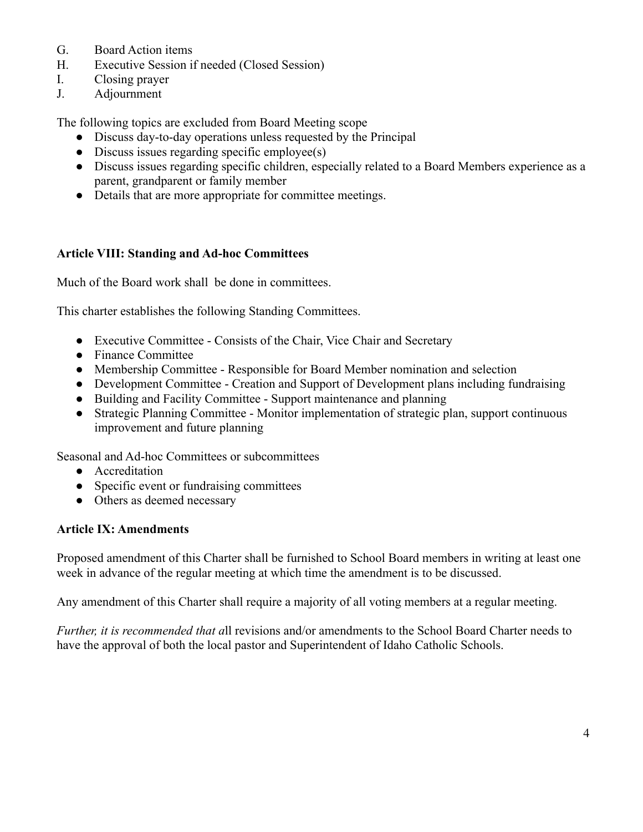- G. Board Action items
- H. Executive Session if needed (Closed Session)
- I. Closing prayer
- J. Adjournment

The following topics are excluded from Board Meeting scope

- Discuss day-to-day operations unless requested by the Principal
- Discuss issues regarding specific employee(s)
- Discuss issues regarding specific children, especially related to a Board Members experience as a parent, grandparent or family member
- Details that are more appropriate for committee meetings.

### **Article VIII: Standing and Ad-hoc Committees**

Much of the Board work shall be done in committees.

This charter establishes the following Standing Committees.

- Executive Committee Consists of the Chair, Vice Chair and Secretary
- Finance Committee
- Membership Committee Responsible for Board Member nomination and selection
- Development Committee Creation and Support of Development plans including fundraising
- Building and Facility Committee Support maintenance and planning
- Strategic Planning Committee Monitor implementation of strategic plan, support continuous improvement and future planning

Seasonal and Ad-hoc Committees or subcommittees

- Accreditation
- Specific event or fundraising committees
- Others as deemed necessary

#### **Article IX: Amendments**

Proposed amendment of this Charter shall be furnished to School Board members in writing at least one week in advance of the regular meeting at which time the amendment is to be discussed.

Any amendment of this Charter shall require a majority of all voting members at a regular meeting.

*Further, it is recommended that a*ll revisions and/or amendments to the School Board Charter needs to have the approval of both the local pastor and Superintendent of Idaho Catholic Schools.